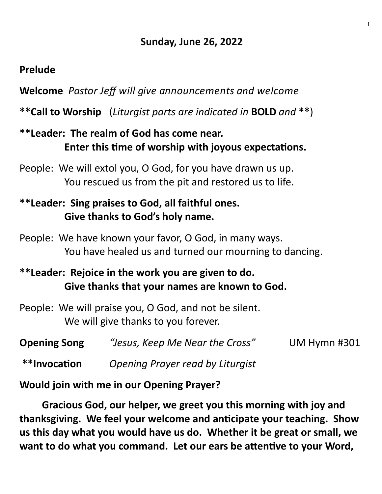## **Sunday, June 26, 2022**

#### **Prelude**

**Welcome** *Pastor Jeff will give announcements and welcome*

**\*\*Call to Worship** (*Liturgist parts are indicated in* **BOLD** *and* **\*\***)

# **\*\*Leader: The realm of God has come near. Enter this time of worship with joyous expectations.**

People: We will extol you, O God, for you have drawn us up. You rescued us from the pit and restored us to life.

# **\*\*Leader: Sing praises to God, all faithful ones. Give thanks to God's holy name.**

People: We have known your favor, O God, in many ways. You have healed us and turned our mourning to dancing.

# **\*\*Leader: Rejoice in the work you are given to do. Give thanks that your names are known to God.**

People: We will praise you, O God, and not be silent. We will give thanks to you forever.

| <b>Opening Song</b>       | "Jesus, Keep Me Near the Cross" | <b>UM Hymn #301</b> |
|---------------------------|---------------------------------|---------------------|
| $\mathbf{A}$ $\mathbf{A}$ |                                 |                     |

**\*\*Invocation** *Opening Prayer read by Liturgist*

## **Would join with me in our Opening Prayer?**

**Gracious God, our helper, we greet you this morning with joy and thanksgiving. We feel your welcome and anticipate your teaching. Show us this day what you would have us do. Whether it be great or small, we want to do what you command. Let our ears be attentive to your Word,**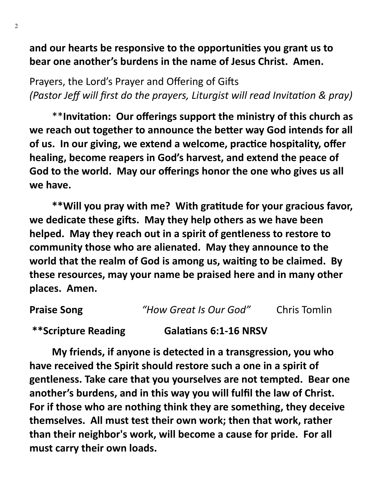**and our hearts be responsive to the opportunities you grant us to bear one another's burdens in the name of Jesus Christ. Amen.**

Prayers, the Lord's Prayer and Offering of Gifts *(Pastor Jeff will first do the prayers, Liturgist will read Invitation & pray)*

\*\***Invitation: Our offerings support the ministry of this church as we reach out together to announce the better way God intends for all of us. In our giving, we extend a welcome, practice hospitality, offer healing, become reapers in God's harvest, and extend the peace of God to the world. May our offerings honor the one who gives us all we have.**

**\*\*Will you pray with me? With gratitude for your gracious favor, we dedicate these gifts. May they help others as we have been helped. May they reach out in a spirit of gentleness to restore to community those who are alienated. May they announce to the world that the realm of God is among us, waiting to be claimed. By these resources, may your name be praised here and in many other places. Amen.**

| <b>Praise Song</b>  | "How Great Is Our God"       | <b>Chris Tomlin</b> |
|---------------------|------------------------------|---------------------|
| **Scripture Reading | <b>Galatians 6:1-16 NRSV</b> |                     |

**My friends, if anyone is detected in a transgression, you who have received the Spirit should restore such a one in a spirit of gentleness. Take care that you yourselves are not tempted. Bear one another's burdens, and in this way you will fulfil the law of Christ. For if those who are nothing think they are something, they deceive themselves. All must test their own work; then that work, rather than their neighbor's work, will become a cause for pride. For all must carry their own loads.**